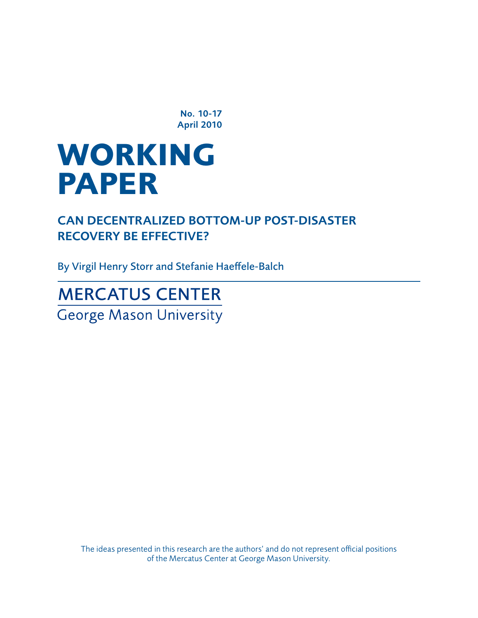No. 10-17 April 2010

# **WORKING paper**

Can Decentralized Bottom-Up Post-Disaster Recovery Be Effective?

By Virgil Henry Storr and Stefanie Haeffele-Balch

**MERCATUS CENTER George Mason University** 

> The ideas presented in this research are the authors' and do not represent official positions of the Mercatus Center at George Mason University.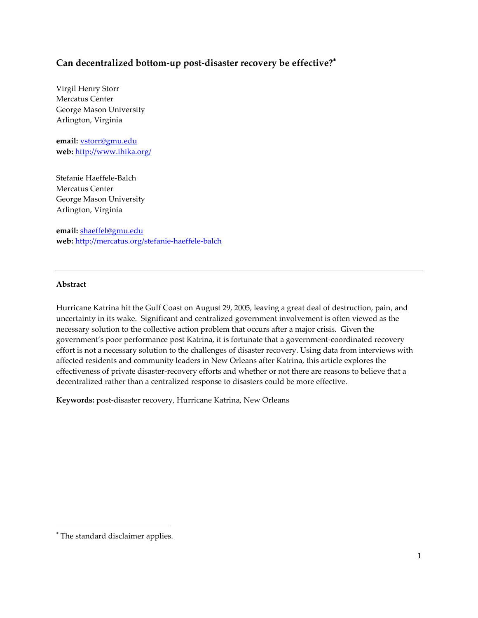## **Can decentralized bottom-up post-disaster recovery be effective?**

Virgil Henry Storr Mercatus Center George Mason University Arlington, Virginia

**email:** [vstorr@gmu.edu](mailto:vstorr@gmu.edu) **web:** <http://www.ihika.org/>

Stefanie Haeffele-Balch Mercatus Center George Mason University Arlington, Virginia

**email:** [shaeffel@gmu.edu](mailto:shaeffel@gmu.edu) **web:** <http://mercatus.org/stefanie-haeffele-balch>

### **Abstract**

Hurricane Katrina hit the Gulf Coast on August 29, 2005, leaving a great deal of destruction, pain, and uncertainty in its wake. Significant and centralized government involvement is often viewed as the necessary solution to the collective action problem that occurs after a major crisis. Given the government's poor performance post Katrina, it is fortunate that a government-coordinated recovery effort is not a necessary solution to the challenges of disaster recovery. Using data from interviews with affected residents and community leaders in New Orleans after Katrina, this article explores the effectiveness of private disaster-recovery efforts and whether or not there are reasons to believe that a decentralized rather than a centralized response to disasters could be more effective.

**Keywords:** post-disaster recovery, Hurricane Katrina, New Orleans

 $\overline{\phantom{a}}$ 

The standard disclaimer applies.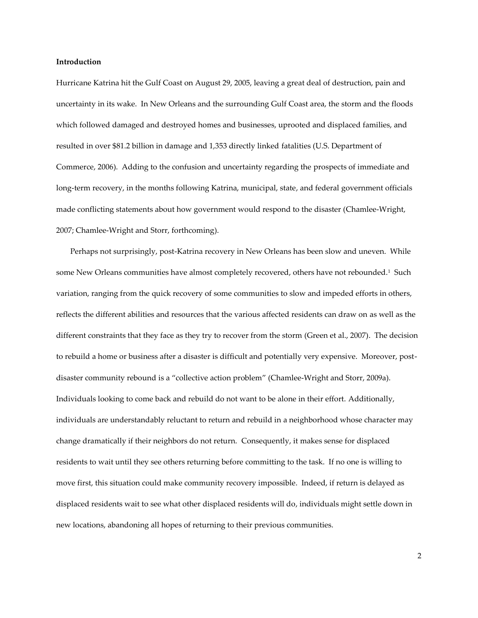#### **Introduction**

Hurricane Katrina hit the Gulf Coast on August 29, 2005, leaving a great deal of destruction, pain and uncertainty in its wake. In New Orleans and the surrounding Gulf Coast area, the storm and the floods which followed damaged and destroyed homes and businesses, uprooted and displaced families, and resulted in over \$81.2 billion in damage and 1,353 directly linked fatalities (U.S. Department of Commerce, 2006). Adding to the confusion and uncertainty regarding the prospects of immediate and long-term recovery, in the months following Katrina, municipal, state, and federal government officials made conflicting statements about how government would respond to the disaster (Chamlee-Wright, 2007; Chamlee-Wright and Storr, forthcoming).

Perhaps not surprisingly, post-Katrina recovery in New Orleans has been slow and uneven. While some New Orleans communities have almost completely recovered, others have not rebounded. $^{\rm 1}$  Such variation, ranging from the quick recovery of some communities to slow and impeded efforts in others, reflects the different abilities and resources that the various affected residents can draw on as well as the different constraints that they face as they try to recover from the storm (Green et al., 2007). The decision to rebuild a home or business after a disaster is difficult and potentially very expensive. Moreover, postdisaster community rebound is a 'collective action problem' (Chamlee-Wright and Storr, 2009a). Individuals looking to come back and rebuild do not want to be alone in their effort. Additionally, individuals are understandably reluctant to return and rebuild in a neighborhood whose character may change dramatically if their neighbors do not return. Consequently, it makes sense for displaced residents to wait until they see others returning before committing to the task. If no one is willing to move first, this situation could make community recovery impossible. Indeed, if return is delayed as displaced residents wait to see what other displaced residents will do, individuals might settle down in new locations, abandoning all hopes of returning to their previous communities.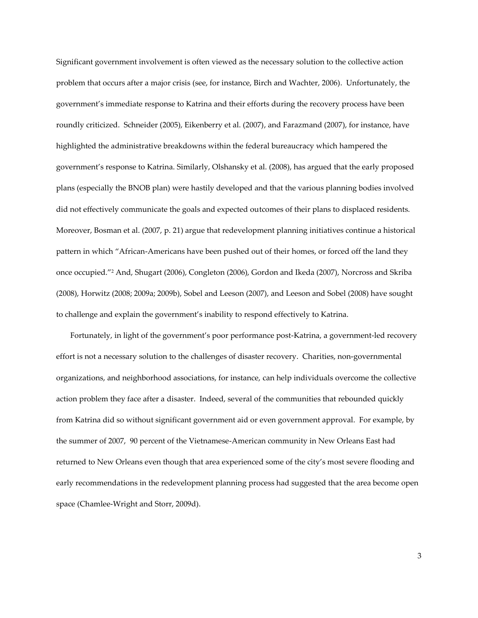Significant government involvement is often viewed as the necessary solution to the collective action problem that occurs after a major crisis (see, for instance, Birch and Wachter, 2006). Unfortunately, the government's immediate response to Katrina and their efforts during the recovery process have been roundly criticized. Schneider (2005), Eikenberry et al. (2007), and Farazmand (2007), for instance, have highlighted the administrative breakdowns within the federal bureaucracy which hampered the government's response to Katrina. Similarly, Olshansky et al. (2008), has argued that the early proposed plans (especially the BNOB plan) were hastily developed and that the various planning bodies involved did not effectively communicate the goals and expected outcomes of their plans to displaced residents. Moreover, Bosman et al. (2007, p. 21) argue that redevelopment planning initiatives continue a historical pattern in which 'African-Americans have been pushed out of their homes, or forced off the land they once occupied.' <sup>2</sup> And, Shugart (2006), Congleton (2006), Gordon and Ikeda (2007), Norcross and Skriba (2008), Horwitz (2008; 2009a; 2009b), Sobel and Leeson (2007), and Leeson and Sobel (2008) have sought to challenge and explain the government's inability to respond effectively to Katrina.

Fortunately, in light of the government's poor performance post-Katrina, a government-led recovery effort is not a necessary solution to the challenges of disaster recovery. Charities, non-governmental organizations, and neighborhood associations, for instance, can help individuals overcome the collective action problem they face after a disaster. Indeed, several of the communities that rebounded quickly from Katrina did so without significant government aid or even government approval. For example, by the summer of 2007, 90 percent of the Vietnamese-American community in New Orleans East had returned to New Orleans even though that area experienced some of the city's most severe flooding and early recommendations in the redevelopment planning process had suggested that the area become open space (Chamlee-Wright and Storr, 2009d).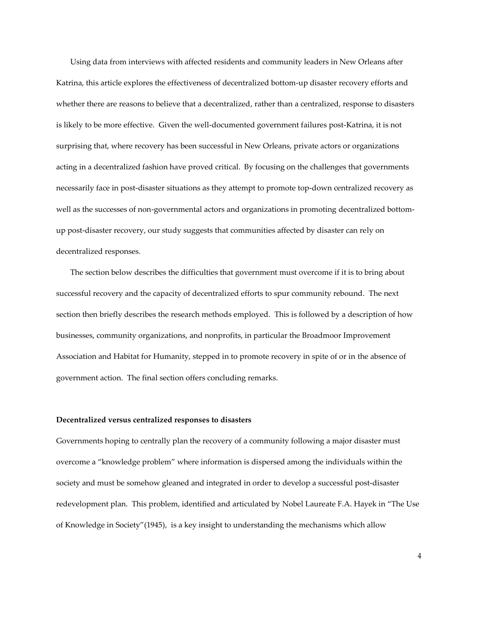Using data from interviews with affected residents and community leaders in New Orleans after Katrina, this article explores the effectiveness of decentralized bottom-up disaster recovery efforts and whether there are reasons to believe that a decentralized, rather than a centralized, response to disasters is likely to be more effective. Given the well-documented government failures post-Katrina, it is not surprising that, where recovery has been successful in New Orleans, private actors or organizations acting in a decentralized fashion have proved critical. By focusing on the challenges that governments necessarily face in post-disaster situations as they attempt to promote top-down centralized recovery as well as the successes of non-governmental actors and organizations in promoting decentralized bottomup post-disaster recovery, our study suggests that communities affected by disaster can rely on decentralized responses.

The section below describes the difficulties that government must overcome if it is to bring about successful recovery and the capacity of decentralized efforts to spur community rebound. The next section then briefly describes the research methods employed. This is followed by a description of how businesses, community organizations, and nonprofits, in particular the Broadmoor Improvement Association and Habitat for Humanity, stepped in to promote recovery in spite of or in the absence of government action. The final section offers concluding remarks.

#### **Decentralized versus centralized responses to disasters**

Governments hoping to centrally plan the recovery of a community following a major disaster must overcome a 'knowledge problem' where information is dispersed among the individuals within the society and must be somehow gleaned and integrated in order to develop a successful post-disaster redevelopment plan. This problem, identified and articulated by Nobel Laureate F.A. Hayek in 'The Use of Knowledge in Society'(1945), is a key insight to understanding the mechanisms which allow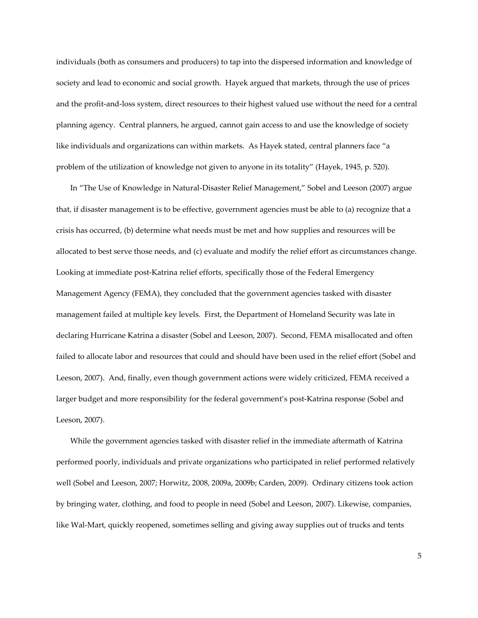individuals (both as consumers and producers) to tap into the dispersed information and knowledge of society and lead to economic and social growth. Hayek argued that markets, through the use of prices and the profit-and-loss system, direct resources to their highest valued use without the need for a central planning agency. Central planners, he argued, cannot gain access to and use the knowledge of society like individuals and organizations can within markets. As Hayek stated, central planners face 'a problem of the utilization of knowledge not given to anyone in its totality' (Hayek, 1945, p. 520).

In 'The Use of Knowledge in Natural-Disaster Relief Management,' Sobel and Leeson (2007) argue that, if disaster management is to be effective, government agencies must be able to (a) recognize that a crisis has occurred, (b) determine what needs must be met and how supplies and resources will be allocated to best serve those needs, and (c) evaluate and modify the relief effort as circumstances change. Looking at immediate post-Katrina relief efforts, specifically those of the Federal Emergency Management Agency (FEMA), they concluded that the government agencies tasked with disaster management failed at multiple key levels. First, the Department of Homeland Security was late in declaring Hurricane Katrina a disaster (Sobel and Leeson, 2007). Second, FEMA misallocated and often failed to allocate labor and resources that could and should have been used in the relief effort (Sobel and Leeson, 2007). And, finally, even though government actions were widely criticized, FEMA received a larger budget and more responsibility for the federal government's post-Katrina response (Sobel and Leeson, 2007).

While the government agencies tasked with disaster relief in the immediate aftermath of Katrina performed poorly, individuals and private organizations who participated in relief performed relatively well (Sobel and Leeson, 2007; Horwitz, 2008, 2009a, 2009b; Carden, 2009). Ordinary citizens took action by bringing water, clothing, and food to people in need (Sobel and Leeson, 2007). Likewise, companies, like Wal-Mart, quickly reopened, sometimes selling and giving away supplies out of trucks and tents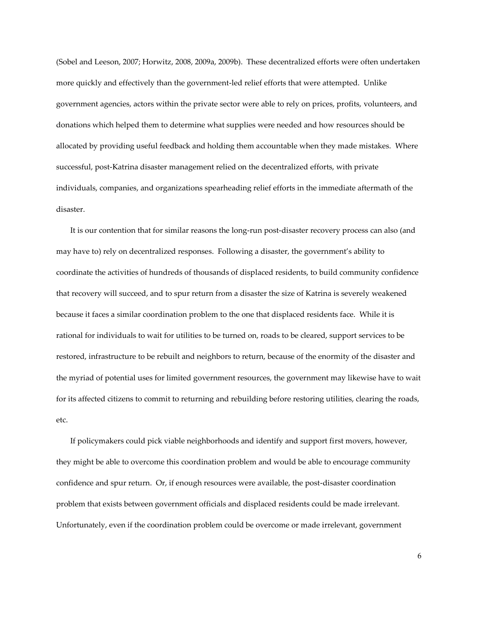(Sobel and Leeson, 2007; Horwitz, 2008, 2009a, 2009b). These decentralized efforts were often undertaken more quickly and effectively than the government-led relief efforts that were attempted. Unlike government agencies, actors within the private sector were able to rely on prices, profits, volunteers, and donations which helped them to determine what supplies were needed and how resources should be allocated by providing useful feedback and holding them accountable when they made mistakes. Where successful, post-Katrina disaster management relied on the decentralized efforts, with private individuals, companies, and organizations spearheading relief efforts in the immediate aftermath of the disaster.

It is our contention that for similar reasons the long-run post-disaster recovery process can also (and may have to) rely on decentralized responses. Following a disaster, the government's ability to coordinate the activities of hundreds of thousands of displaced residents, to build community confidence that recovery will succeed, and to spur return from a disaster the size of Katrina is severely weakened because it faces a similar coordination problem to the one that displaced residents face. While it is rational for individuals to wait for utilities to be turned on, roads to be cleared, support services to be restored, infrastructure to be rebuilt and neighbors to return, because of the enormity of the disaster and the myriad of potential uses for limited government resources, the government may likewise have to wait for its affected citizens to commit to returning and rebuilding before restoring utilities, clearing the roads, etc.

If policymakers could pick viable neighborhoods and identify and support first movers, however, they might be able to overcome this coordination problem and would be able to encourage community confidence and spur return. Or, if enough resources were available, the post-disaster coordination problem that exists between government officials and displaced residents could be made irrelevant. Unfortunately, even if the coordination problem could be overcome or made irrelevant, government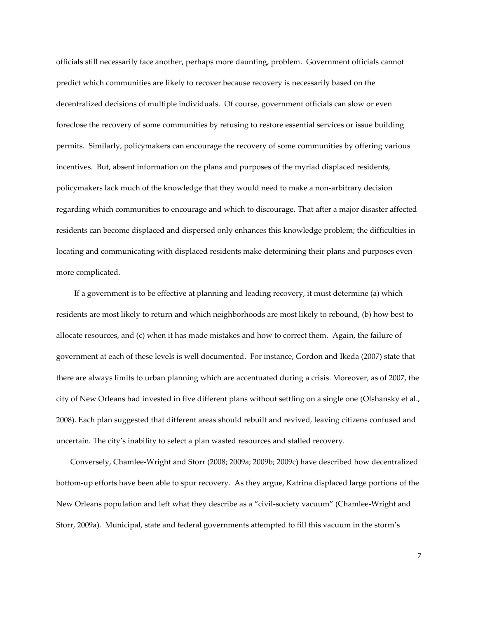officials still necessarily face another, perhaps more daunting, problem. Government officials cannot predict which communities are likely to recover because recovery is necessarily based on the decentralized decisions of multiple individuals. Of course, government officials can slow or even foreclose the recovery of some communities by refusing to restore essential services or issue building permits. Similarly, policymakers can encourage the recovery of some communities by offering various incentives. But, absent information on the plans and purposes of the myriad displaced residents, policymakers lack much of the knowledge that they would need to make a non-arbitrary decision regarding which communities to encourage and which to discourage. That after a major disaster affected residents can become displaced and dispersed only enhances this knowledge problem; the difficulties in locating and communicating with displaced residents make determining their plans and purposes even more complicated.

 If a government is to be effective at planning and leading recovery, it must determine (a) which residents are most likely to return and which neighborhoods are most likely to rebound, (b) how best to allocate resources, and (c) when it has made mistakes and how to correct them. Again, the failure of government at each of these levels is well documented. For instance, Gordon and Ikeda (2007) state that there are always limits to urban planning which are accentuated during a crisis. Moreover, as of 2007, the city of New Orleans had invested in five different plans without settling on a single one (Olshansky et al., 2008). Each plan suggested that different areas should rebuilt and revived, leaving citizens confused and uncertain. The city's inability to select a plan wasted resources and stalled recovery.

Conversely, Chamlee-Wright and Storr (2008; 2009a; 2009b; 2009c) have described how decentralized bottom-up efforts have been able to spur recovery. As they argue, Katrina displaced large portions of the New Orleans population and left what they describe as a 'civil-society vacuum' (Chamlee-Wright and Storr, 2009a). Municipal, state and federal governments attempted to fill this vacuum in the storm's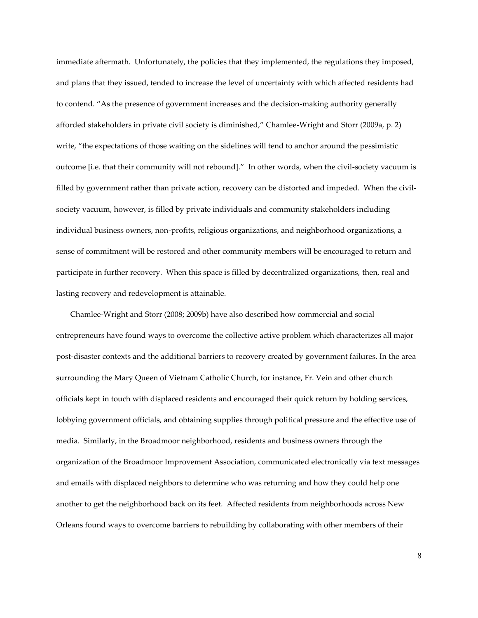immediate aftermath. Unfortunately, the policies that they implemented, the regulations they imposed, and plans that they issued, tended to increase the level of uncertainty with which affected residents had to contend. 'As the presence of government increases and the decision-making authority generally afforded stakeholders in private civil society is diminished,' Chamlee-Wright and Storr (2009a, p. 2) write, "the expectations of those waiting on the sidelines will tend to anchor around the pessimistic outcome [i.e. that their community will not rebound]." In other words, when the civil-society vacuum is filled by government rather than private action, recovery can be distorted and impeded. When the civilsociety vacuum, however, is filled by private individuals and community stakeholders including individual business owners, non-profits, religious organizations, and neighborhood organizations, a sense of commitment will be restored and other community members will be encouraged to return and participate in further recovery. When this space is filled by decentralized organizations, then, real and lasting recovery and redevelopment is attainable.

Chamlee-Wright and Storr (2008; 2009b) have also described how commercial and social entrepreneurs have found ways to overcome the collective active problem which characterizes all major post-disaster contexts and the additional barriers to recovery created by government failures. In the area surrounding the Mary Queen of Vietnam Catholic Church, for instance, Fr. Vein and other church officials kept in touch with displaced residents and encouraged their quick return by holding services, lobbying government officials, and obtaining supplies through political pressure and the effective use of media. Similarly, in the Broadmoor neighborhood, residents and business owners through the organization of the Broadmoor Improvement Association, communicated electronically via text messages and emails with displaced neighbors to determine who was returning and how they could help one another to get the neighborhood back on its feet. Affected residents from neighborhoods across New Orleans found ways to overcome barriers to rebuilding by collaborating with other members of their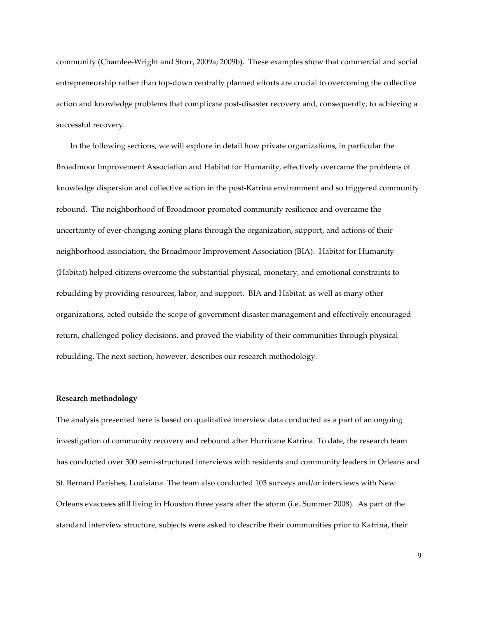community (Chamlee-Wright and Storr, 2009a; 2009b). These examples show that commercial and social entrepreneurship rather than top-down centrally planned efforts are crucial to overcoming the collective action and knowledge problems that complicate post-disaster recovery and, consequently, to achieving a successful recovery.

In the following sections, we will explore in detail how private organizations, in particular the Broadmoor Improvement Association and Habitat for Humanity, effectively overcame the problems of knowledge dispersion and collective action in the post-Katrina environment and so triggered community rebound. The neighborhood of Broadmoor promoted community resilience and overcame the uncertainty of ever-changing zoning plans through the organization, support, and actions of their neighborhood association, the Broadmoor Improvement Association (BIA). Habitat for Humanity (Habitat) helped citizens overcome the substantial physical, monetary, and emotional constraints to rebuilding by providing resources, labor, and support. BIA and Habitat, as well as many other organizations, acted outside the scope of government disaster management and effectively encouraged return, challenged policy decisions, and proved the viability of their communities through physical rebuilding. The next section, however, describes our research methodology.

#### **Research methodology**

The analysis presented here is based on qualitative interview data conducted as a part of an ongoing investigation of community recovery and rebound after Hurricane Katrina. To date, the research team has conducted over 300 semi-structured interviews with residents and community leaders in Orleans and St. Bernard Parishes, Louisiana. The team also conducted 103 surveys and/or interviews with New Orleans evacuees still living in Houston three years after the storm (i.e. Summer 2008). As part of the standard interview structure, subjects were asked to describe their communities prior to Katrina, their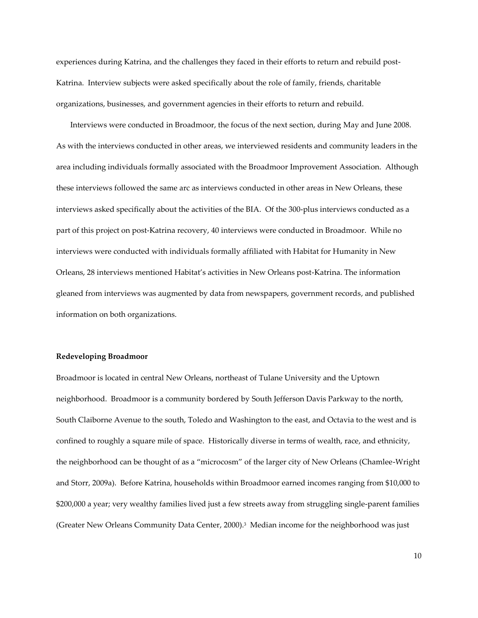experiences during Katrina, and the challenges they faced in their efforts to return and rebuild post-Katrina. Interview subjects were asked specifically about the role of family, friends, charitable organizations, businesses, and government agencies in their efforts to return and rebuild.

Interviews were conducted in Broadmoor, the focus of the next section, during May and June 2008. As with the interviews conducted in other areas, we interviewed residents and community leaders in the area including individuals formally associated with the Broadmoor Improvement Association. Although these interviews followed the same arc as interviews conducted in other areas in New Orleans, these interviews asked specifically about the activities of the BIA. Of the 300-plus interviews conducted as a part of this project on post-Katrina recovery, 40 interviews were conducted in Broadmoor. While no interviews were conducted with individuals formally affiliated with Habitat for Humanity in New Orleans, 28 interviews mentioned Habitat's activities in New Orleans post-Katrina. The information gleaned from interviews was augmented by data from newspapers, government records, and published information on both organizations.

#### **Redeveloping Broadmoor**

Broadmoor is located in central New Orleans, northeast of Tulane University and the Uptown neighborhood. Broadmoor is a community bordered by South Jefferson Davis Parkway to the north, South Claiborne Avenue to the south, Toledo and Washington to the east, and Octavia to the west and is confined to roughly a square mile of space. Historically diverse in terms of wealth, race, and ethnicity, the neighborhood can be thought of as a 'microcosm' of the larger city of New Orleans (Chamlee-Wright and Storr, 2009a). Before Katrina, households within Broadmoor earned incomes ranging from \$10,000 to \$200,000 a year; very wealthy families lived just a few streets away from struggling single-parent families (Greater New Orleans Community Data Center, 2000).<sup>3</sup> Median income for the neighborhood was just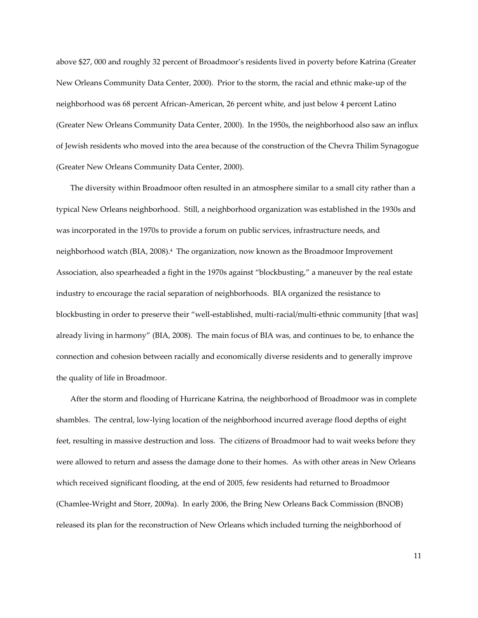above \$27, 000 and roughly 32 percent of Broadmoor's residents lived in poverty before Katrina (Greater New Orleans Community Data Center, 2000). Prior to the storm, the racial and ethnic make-up of the neighborhood was 68 percent African-American, 26 percent white, and just below 4 percent Latino (Greater New Orleans Community Data Center, 2000). In the 1950s, the neighborhood also saw an influx of Jewish residents who moved into the area because of the construction of the Chevra Thilim Synagogue (Greater New Orleans Community Data Center, 2000).

The diversity within Broadmoor often resulted in an atmosphere similar to a small city rather than a typical New Orleans neighborhood. Still, a neighborhood organization was established in the 1930s and was incorporated in the 1970s to provide a forum on public services, infrastructure needs, and neighborhood watch (BIA, 2008).<sup>4</sup> The organization, now known as the Broadmoor Improvement Association, also spearheaded a fight in the 1970s against 'blockbusting,' a maneuver by the real estate industry to encourage the racial separation of neighborhoods. BIA organized the resistance to blockbusting in order to preserve their 'well-established, multi-racial/multi-ethnic community [that was] already living in harmony' (BIA, 2008). The main focus of BIA was, and continues to be, to enhance the connection and cohesion between racially and economically diverse residents and to generally improve the quality of life in Broadmoor.

After the storm and flooding of Hurricane Katrina, the neighborhood of Broadmoor was in complete shambles. The central, low-lying location of the neighborhood incurred average flood depths of eight feet, resulting in massive destruction and loss. The citizens of Broadmoor had to wait weeks before they were allowed to return and assess the damage done to their homes. As with other areas in New Orleans which received significant flooding, at the end of 2005, few residents had returned to Broadmoor (Chamlee-Wright and Storr, 2009a). In early 2006, the Bring New Orleans Back Commission (BNOB) released its plan for the reconstruction of New Orleans which included turning the neighborhood of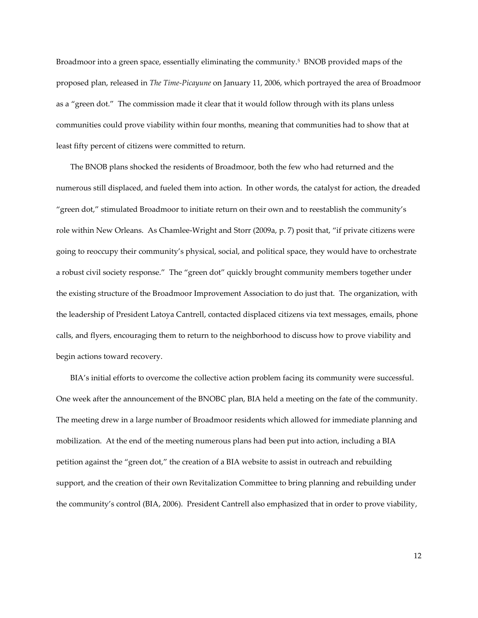Broadmoor into a green space, essentially eliminating the community.<sup>5</sup> BNOB provided maps of the proposed plan, released in *The Time-Picayune* on January 11, 2006, which portrayed the area of Broadmoor as a "green dot." The commission made it clear that it would follow through with its plans unless communities could prove viability within four months, meaning that communities had to show that at least fifty percent of citizens were committed to return.

The BNOB plans shocked the residents of Broadmoor, both the few who had returned and the numerous still displaced, and fueled them into action. In other words, the catalyst for action, the dreaded 'green dot,' stimulated Broadmoor to initiate return on their own and to reestablish the community's role within New Orleans. As Chamlee-Wright and Storr (2009a, p. 7) posit that, 'if private citizens were going to reoccupy their community's physical, social, and political space, they would have to orchestrate a robust civil society response." The "green dot" quickly brought community members together under the existing structure of the Broadmoor Improvement Association to do just that. The organization, with the leadership of President Latoya Cantrell, contacted displaced citizens via text messages, emails, phone calls, and flyers, encouraging them to return to the neighborhood to discuss how to prove viability and begin actions toward recovery.

BIA's initial efforts to overcome the collective action problem facing its community were successful. One week after the announcement of the BNOBC plan, BIA held a meeting on the fate of the community. The meeting drew in a large number of Broadmoor residents which allowed for immediate planning and mobilization. At the end of the meeting numerous plans had been put into action, including a BIA petition against the 'green dot,' the creation of a BIA website to assist in outreach and rebuilding support, and the creation of their own Revitalization Committee to bring planning and rebuilding under the community's control (BIA, 2006). President Cantrell also emphasized that in order to prove viability,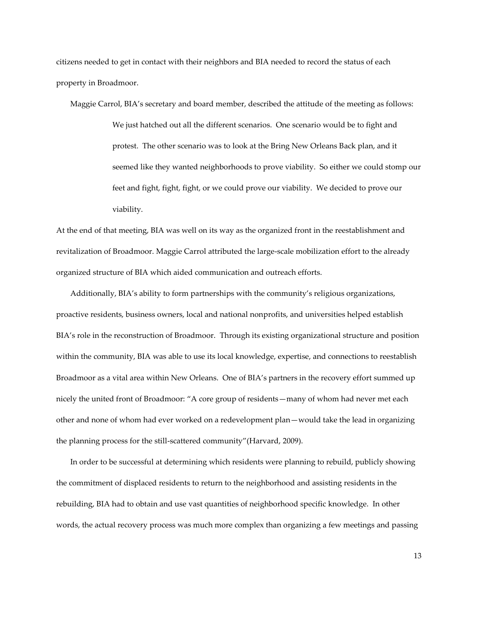citizens needed to get in contact with their neighbors and BIA needed to record the status of each property in Broadmoor.

Maggie Carrol, BIA's secretary and board member, described the attitude of the meeting as follows: We just hatched out all the different scenarios. One scenario would be to fight and protest. The other scenario was to look at the Bring New Orleans Back plan, and it seemed like they wanted neighborhoods to prove viability. So either we could stomp our feet and fight, fight, fight, or we could prove our viability. We decided to prove our viability.

At the end of that meeting, BIA was well on its way as the organized front in the reestablishment and revitalization of Broadmoor. Maggie Carrol attributed the large-scale mobilization effort to the already organized structure of BIA which aided communication and outreach efforts.

Additionally, BIA's ability to form partnerships with the community's religious organizations, proactive residents, business owners, local and national nonprofits, and universities helped establish BIA's role in the reconstruction of Broadmoor. Through its existing organizational structure and position within the community, BIA was able to use its local knowledge, expertise, and connections to reestablish Broadmoor as a vital area within New Orleans. One of BIA's partners in the recovery effort summed up nicely the united front of Broadmoor: 'A core group of residents—many of whom had never met each other and none of whom had ever worked on a redevelopment plan—would take the lead in organizing the planning process for the still-scattered community'(Harvard, 2009).

In order to be successful at determining which residents were planning to rebuild, publicly showing the commitment of displaced residents to return to the neighborhood and assisting residents in the rebuilding, BIA had to obtain and use vast quantities of neighborhood specific knowledge. In other words, the actual recovery process was much more complex than organizing a few meetings and passing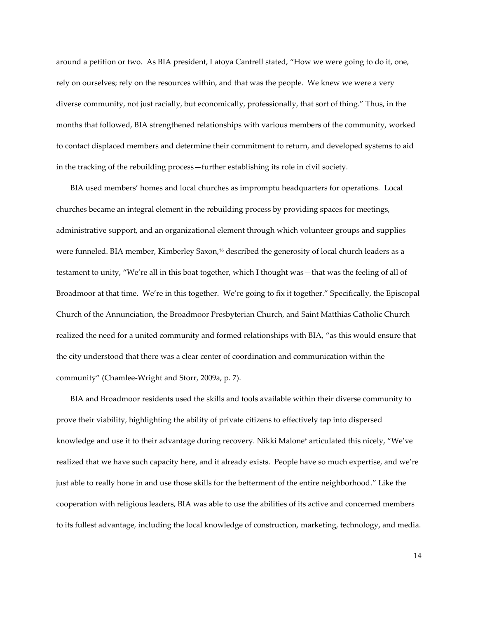around a petition or two. As BIA president, Latoya Cantrell stated, 'How we were going to do it, one, rely on ourselves; rely on the resources within, and that was the people. We knew we were a very diverse community, not just racially, but economically, professionally, that sort of thing." Thus, in the months that followed, BIA strengthened relationships with various members of the community, worked to contact displaced members and determine their commitment to return, and developed systems to aid in the tracking of the rebuilding process—further establishing its role in civil society.

BIA used members' homes and local churches as impromptu headquarters for operations. Local churches became an integral element in the rebuilding process by providing spaces for meetings, administrative support, and an organizational element through which volunteer groups and supplies were funneled. BIA member, Kimberley Saxon, †<sup>6</sup> described the generosity of local church leaders as a testament to unity, 'We're all in this boat together, which I thought was—that was the feeling of all of Broadmoor at that time. We're in this together. We're going to fix it together.' Specifically, the Episcopal Church of the Annunciation, the Broadmoor Presbyterian Church, and Saint Matthias Catholic Church realized the need for a united community and formed relationships with BIA, 'as this would ensure that the city understood that there was a clear center of coordination and communication within the community' (Chamlee-Wright and Storr, 2009a, p. 7).

BIA and Broadmoor residents used the skills and tools available within their diverse community to prove their viability, highlighting the ability of private citizens to effectively tap into dispersed knowledge and use it to their advantage during recovery. Nikki Malone † articulated this nicely, 'We've realized that we have such capacity here, and it already exists. People have so much expertise, and we're just able to really hone in and use those skills for the betterment of the entire neighborhood.' Like the cooperation with religious leaders, BIA was able to use the abilities of its active and concerned members to its fullest advantage, including the local knowledge of construction, marketing, technology, and media.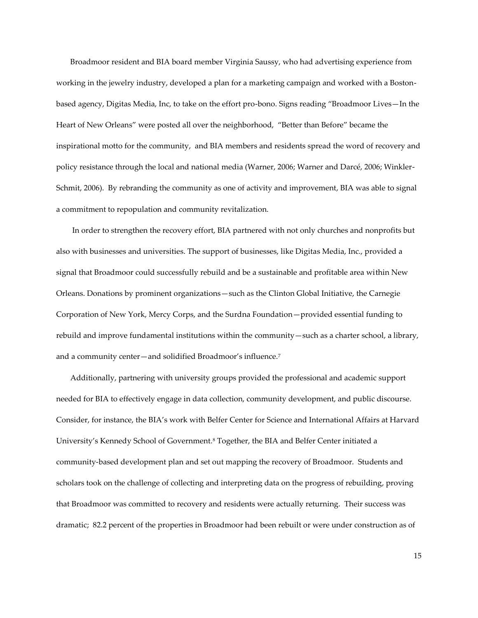Broadmoor resident and BIA board member Virginia Saussy, who had advertising experience from working in the jewelry industry, developed a plan for a marketing campaign and worked with a Bostonbased agency, Digitas Media, Inc, to take on the effort pro-bono. Signs reading 'Broadmoor Lives—In the Heart of New Orleans" were posted all over the neighborhood, "Better than Before" became the inspirational motto for the community, and BIA members and residents spread the word of recovery and policy resistance through the local and national media (Warner, 2006; Warner and Darcé, 2006; Winkler-Schmit, 2006). By rebranding the community as one of activity and improvement, BIA was able to signal a commitment to repopulation and community revitalization.

In order to strengthen the recovery effort, BIA partnered with not only churches and nonprofits but also with businesses and universities. The support of businesses, like Digitas Media, Inc., provided a signal that Broadmoor could successfully rebuild and be a sustainable and profitable area within New Orleans. Donations by prominent organizations—such as the Clinton Global Initiative, the Carnegie Corporation of New York, Mercy Corps, and the Surdna Foundation—provided essential funding to rebuild and improve fundamental institutions within the community—such as a charter school, a library, and a community center—and solidified Broadmoor's influence.<sup>7</sup>

Additionally, partnering with university groups provided the professional and academic support needed for BIA to effectively engage in data collection, community development, and public discourse. Consider, for instance, the BIA's work with Belfer Center for Science and International Affairs at Harvard University's Kennedy School of Government.<sup>8</sup> Together, the BIA and Belfer Center initiated a community-based development plan and set out mapping the recovery of Broadmoor. Students and scholars took on the challenge of collecting and interpreting data on the progress of rebuilding, proving that Broadmoor was committed to recovery and residents were actually returning. Their success was dramatic; 82.2 percent of the properties in Broadmoor had been rebuilt or were under construction as of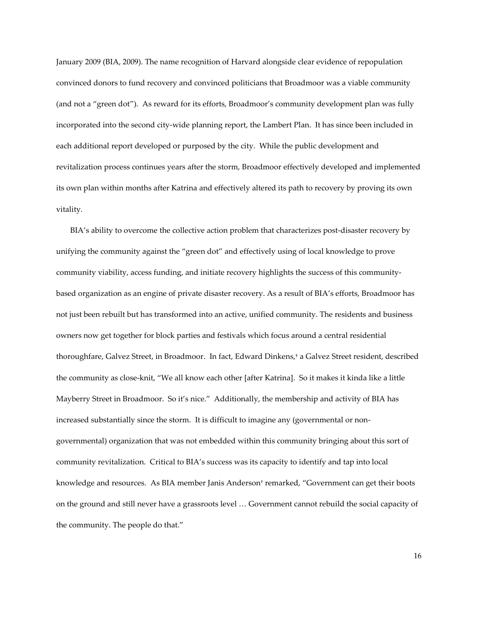January 2009 (BIA, 2009). The name recognition of Harvard alongside clear evidence of repopulation convinced donors to fund recovery and convinced politicians that Broadmoor was a viable community (and not a 'green dot'). As reward for its efforts, Broadmoor's community development plan was fully incorporated into the second city-wide planning report, the Lambert Plan. It has since been included in each additional report developed or purposed by the city. While the public development and revitalization process continues years after the storm, Broadmoor effectively developed and implemented its own plan within months after Katrina and effectively altered its path to recovery by proving its own vitality.

BIA's ability to overcome the collective action problem that characterizes post-disaster recovery by unifying the community against the 'green dot' and effectively using of local knowledge to prove community viability, access funding, and initiate recovery highlights the success of this communitybased organization as an engine of private disaster recovery. As a result of BIA's efforts, Broadmoor has not just been rebuilt but has transformed into an active, unified community. The residents and business owners now get together for block parties and festivals which focus around a central residential thoroughfare, Galvez Street, in Broadmoor. In fact, Edward Dinkens, † a Galvez Street resident, described the community as close-knit, 'We all know each other [after Katrina]. So it makes it kinda like a little Mayberry Street in Broadmoor. So it's nice.' Additionally, the membership and activity of BIA has increased substantially since the storm. It is difficult to imagine any (governmental or nongovernmental) organization that was not embedded within this community bringing about this sort of community revitalization. Critical to BIA's success was its capacity to identify and tap into local knowledge and resources. As BIA member Janis Anderson† remarked, 'Government can get their boots on the ground and still never have a grassroots level ... Government cannot rebuild the social capacity of the community. The people do that.'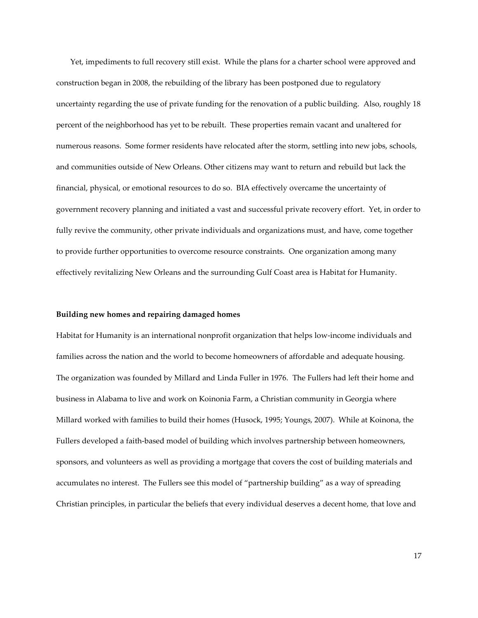Yet, impediments to full recovery still exist. While the plans for a charter school were approved and construction began in 2008, the rebuilding of the library has been postponed due to regulatory uncertainty regarding the use of private funding for the renovation of a public building. Also, roughly 18 percent of the neighborhood has yet to be rebuilt. These properties remain vacant and unaltered for numerous reasons. Some former residents have relocated after the storm, settling into new jobs, schools, and communities outside of New Orleans. Other citizens may want to return and rebuild but lack the financial, physical, or emotional resources to do so. BIA effectively overcame the uncertainty of government recovery planning and initiated a vast and successful private recovery effort. Yet, in order to fully revive the community, other private individuals and organizations must, and have, come together to provide further opportunities to overcome resource constraints. One organization among many effectively revitalizing New Orleans and the surrounding Gulf Coast area is Habitat for Humanity.

#### **Building new homes and repairing damaged homes**

Habitat for Humanity is an international nonprofit organization that helps low-income individuals and families across the nation and the world to become homeowners of affordable and adequate housing. The organization was founded by Millard and Linda Fuller in 1976. The Fullers had left their home and business in Alabama to live and work on Koinonia Farm, a Christian community in Georgia where Millard worked with families to build their homes (Husock, 1995; Youngs, 2007). While at Koinona, the Fullers developed a faith-based model of building which involves partnership between homeowners, sponsors, and volunteers as well as providing a mortgage that covers the cost of building materials and accumulates no interest. The Fullers see this model of 'partnership building' as a way of spreading Christian principles, in particular the beliefs that every individual deserves a decent home, that love and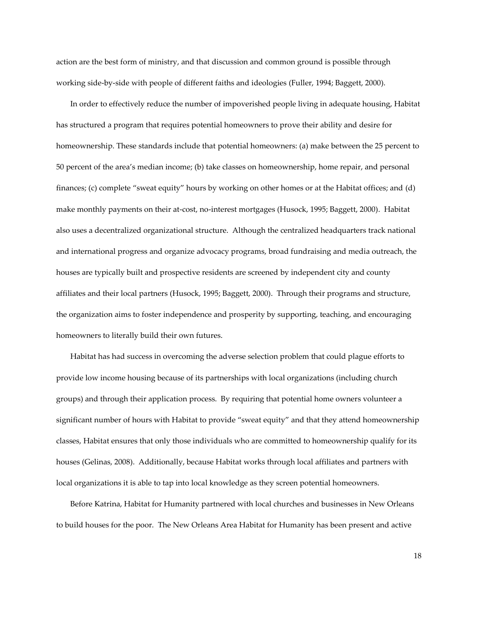action are the best form of ministry, and that discussion and common ground is possible through working side-by-side with people of different faiths and ideologies (Fuller, 1994; Baggett, 2000).

In order to effectively reduce the number of impoverished people living in adequate housing, Habitat has structured a program that requires potential homeowners to prove their ability and desire for homeownership. These standards include that potential homeowners: (a) make between the 25 percent to 50 percent of the area's median income; (b) take classes on homeownership, home repair, and personal finances; (c) complete 'sweat equity' hours by working on other homes or at the Habitat offices; and (d) make monthly payments on their at-cost, no-interest mortgages (Husock, 1995; Baggett, 2000). Habitat also uses a decentralized organizational structure. Although the centralized headquarters track national and international progress and organize advocacy programs, broad fundraising and media outreach, the houses are typically built and prospective residents are screened by independent city and county affiliates and their local partners (Husock, 1995; Baggett, 2000). Through their programs and structure, the organization aims to foster independence and prosperity by supporting, teaching, and encouraging homeowners to literally build their own futures.

Habitat has had success in overcoming the adverse selection problem that could plague efforts to provide low income housing because of its partnerships with local organizations (including church groups) and through their application process. By requiring that potential home owners volunteer a significant number of hours with Habitat to provide 'sweat equity' and that they attend homeownership classes, Habitat ensures that only those individuals who are committed to homeownership qualify for its houses (Gelinas, 2008). Additionally, because Habitat works through local affiliates and partners with local organizations it is able to tap into local knowledge as they screen potential homeowners.

Before Katrina, Habitat for Humanity partnered with local churches and businesses in New Orleans to build houses for the poor. The New Orleans Area Habitat for Humanity has been present and active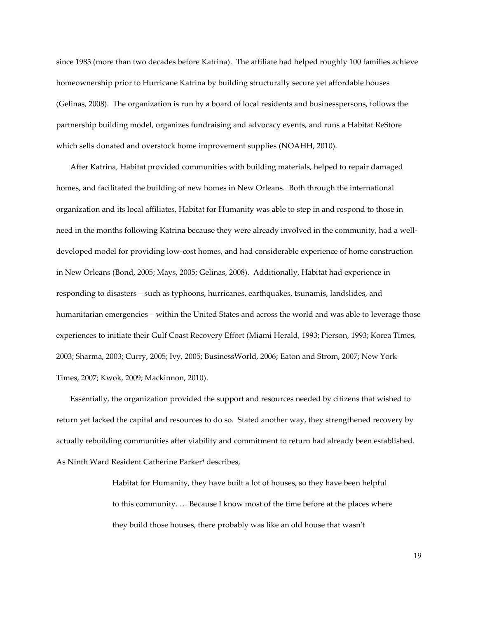since 1983 (more than two decades before Katrina). The affiliate had helped roughly 100 families achieve homeownership prior to Hurricane Katrina by building structurally secure yet affordable houses (Gelinas, 2008). The organization is run by a board of local residents and businesspersons, follows the partnership building model, organizes fundraising and advocacy events, and runs a Habitat ReStore which sells donated and overstock home improvement supplies (NOAHH, 2010).

After Katrina, Habitat provided communities with building materials, helped to repair damaged homes, and facilitated the building of new homes in New Orleans. Both through the international organization and its local affiliates, Habitat for Humanity was able to step in and respond to those in need in the months following Katrina because they were already involved in the community, had a welldeveloped model for providing low-cost homes, and had considerable experience of home construction in New Orleans (Bond, 2005; Mays, 2005; Gelinas, 2008). Additionally, Habitat had experience in responding to disasters—such as typhoons, hurricanes, earthquakes, tsunamis, landslides, and humanitarian emergencies—within the United States and across the world and was able to leverage those experiences to initiate their Gulf Coast Recovery Effort (Miami Herald, 1993; Pierson, 1993; Korea Times, 2003; Sharma, 2003; Curry, 2005; Ivy, 2005; BusinessWorld, 2006; Eaton and Strom, 2007; New York Times, 2007; Kwok, 2009; Mackinnon, 2010).

Essentially, the organization provided the support and resources needed by citizens that wished to return yet lacked the capital and resources to do so. Stated another way, they strengthened recovery by actually rebuilding communities after viability and commitment to return had already been established. As Ninth Ward Resident Catherine Parker† describes,

> Habitat for Humanity, they have built a lot of houses, so they have been helpful to this community. ... Because I know most of the time before at the places where they build those houses, there probably was like an old house that wasn't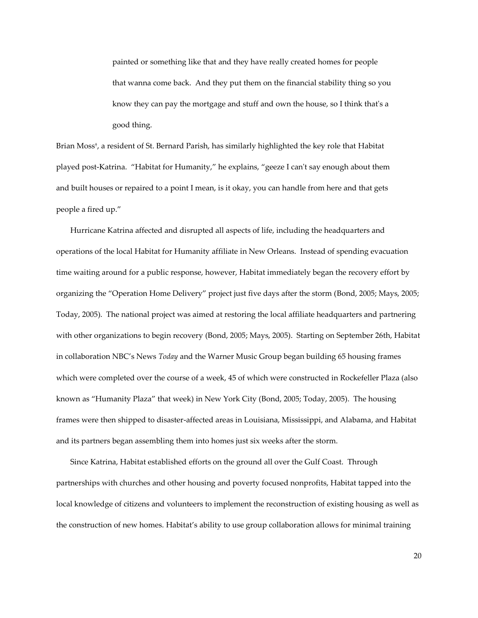painted or something like that and they have really created homes for people that wanna come back. And they put them on the financial stability thing so you know they can pay the mortgage and stuff and own the house, so I think that's a good thing.

Brian Moss† , a resident of St. Bernard Parish, has similarly highlighted the key role that Habitat played post-Katrina. "Habitat for Humanity," he explains, "geeze I can't say enough about them and built houses or repaired to a point I mean, is it okay, you can handle from here and that gets people a fired up.'

Hurricane Katrina affected and disrupted all aspects of life, including the headquarters and operations of the local Habitat for Humanity affiliate in New Orleans. Instead of spending evacuation time waiting around for a public response, however, Habitat immediately began the recovery effort by organizing the 'Operation Home Delivery' project just five days after the storm (Bond, 2005; Mays, 2005; Today, 2005). The national project was aimed at restoring the local affiliate headquarters and partnering with other organizations to begin recovery (Bond, 2005; Mays, 2005). Starting on September 26th, Habitat in collaboration NBC's News *Today* and the Warner Music Group began building 65 housing frames which were completed over the course of a week, 45 of which were constructed in Rockefeller Plaza (also known as 'Humanity Plaza' that week) in New York City (Bond, 2005; Today, 2005). The housing frames were then shipped to disaster-affected areas in Louisiana, Mississippi, and Alabama, and Habitat and its partners began assembling them into homes just six weeks after the storm.

Since Katrina, Habitat established efforts on the ground all over the Gulf Coast. Through partnerships with churches and other housing and poverty focused nonprofits, Habitat tapped into the local knowledge of citizens and volunteers to implement the reconstruction of existing housing as well as the construction of new homes. Habitat's ability to use group collaboration allows for minimal training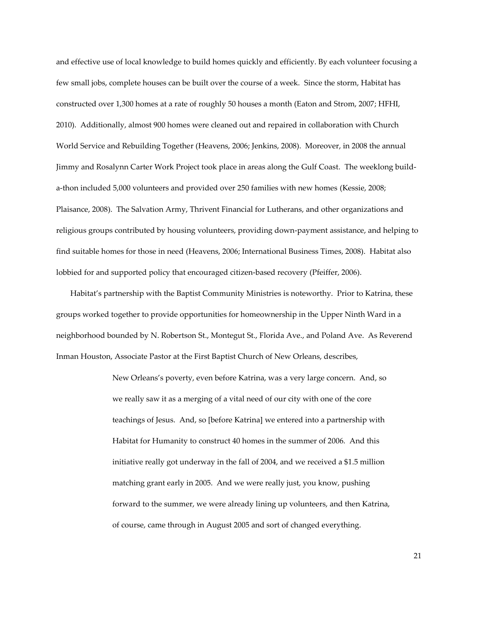and effective use of local knowledge to build homes quickly and efficiently. By each volunteer focusing a few small jobs, complete houses can be built over the course of a week. Since the storm, Habitat has constructed over 1,300 homes at a rate of roughly 50 houses a month (Eaton and Strom, 2007; HFHI, 2010). Additionally, almost 900 homes were cleaned out and repaired in collaboration with Church World Service and Rebuilding Together (Heavens, 2006; Jenkins, 2008). Moreover, in 2008 the annual Jimmy and Rosalynn Carter Work Project took place in areas along the Gulf Coast. The weeklong builda-thon included 5,000 volunteers and provided over 250 families with new homes (Kessie, 2008; Plaisance, 2008). The Salvation Army, Thrivent Financial for Lutherans, and other organizations and religious groups contributed by housing volunteers, providing down-payment assistance, and helping to find suitable homes for those in need (Heavens, 2006; International Business Times, 2008). Habitat also lobbied for and supported policy that encouraged citizen-based recovery (Pfeiffer, 2006).

Habitat's partnership with the Baptist Community Ministries is noteworthy. Prior to Katrina, these groups worked together to provide opportunities for homeownership in the Upper Ninth Ward in a neighborhood bounded by N. Robertson St., Montegut St., Florida Ave., and Poland Ave. As Reverend Inman Houston, Associate Pastor at the First Baptist Church of New Orleans, describes,

> New Orleans's poverty, even before Katrina, was a very large concern. And, so we really saw it as a merging of a vital need of our city with one of the core teachings of Jesus. And, so [before Katrina] we entered into a partnership with Habitat for Humanity to construct 40 homes in the summer of 2006. And this initiative really got underway in the fall of 2004, and we received a \$1.5 million matching grant early in 2005. And we were really just, you know, pushing forward to the summer, we were already lining up volunteers, and then Katrina, of course, came through in August 2005 and sort of changed everything.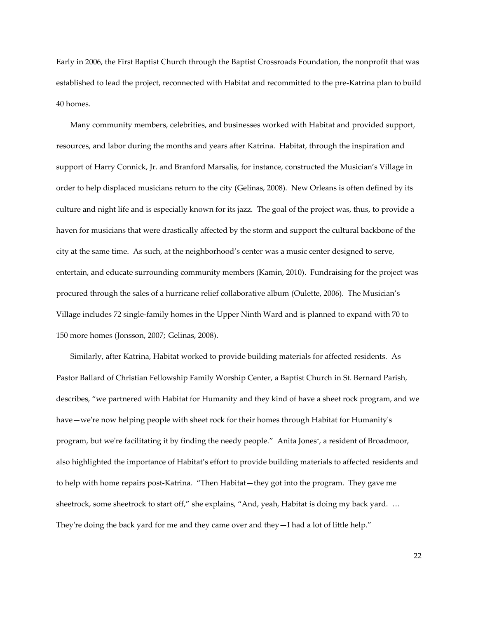Early in 2006, the First Baptist Church through the Baptist Crossroads Foundation, the nonprofit that was established to lead the project, reconnected with Habitat and recommitted to the pre-Katrina plan to build 40 homes.

Many community members, celebrities, and businesses worked with Habitat and provided support, resources, and labor during the months and years after Katrina. Habitat, through the inspiration and support of Harry Connick, Jr. and Branford Marsalis, for instance, constructed the Musician's Village in order to help displaced musicians return to the city (Gelinas, 2008). New Orleans is often defined by its culture and night life and is especially known for its jazz. The goal of the project was, thus, to provide a haven for musicians that were drastically affected by the storm and support the cultural backbone of the city at the same time. As such, at the neighborhood's center was a music center designed to serve, entertain, and educate surrounding community members (Kamin, 2010). Fundraising for the project was procured through the sales of a hurricane relief collaborative album (Oulette, 2006). The Musician's Village includes 72 single-family homes in the Upper Ninth Ward and is planned to expand with 70 to 150 more homes (Jonsson, 2007; Gelinas, 2008).

Similarly, after Katrina, Habitat worked to provide building materials for affected residents. As Pastor Ballard of Christian Fellowship Family Worship Center, a Baptist Church in St. Bernard Parish, describes, 'we partnered with Habitat for Humanity and they kind of have a sheet rock program, and we have—we're now helping people with sheet rock for their homes through Habitat for Humanity's program, but we're facilitating it by finding the needy people.' Anita Jones† , a resident of Broadmoor, also highlighted the importance of Habitat's effort to provide building materials to affected residents and to help with home repairs post-Katrina. 'Then Habitat—they got into the program. They gave me sheetrock, some sheetrock to start off," she explains, "And, yeah, Habitat is doing my back yard. ... They're doing the back yard for me and they came over and they—I had a lot of little help.'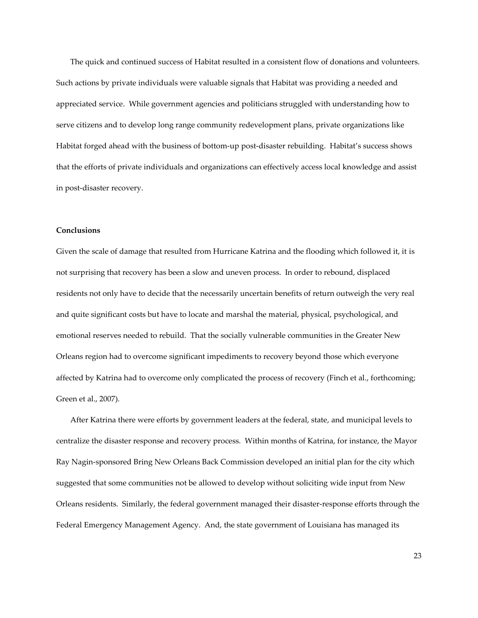The quick and continued success of Habitat resulted in a consistent flow of donations and volunteers. Such actions by private individuals were valuable signals that Habitat was providing a needed and appreciated service. While government agencies and politicians struggled with understanding how to serve citizens and to develop long range community redevelopment plans, private organizations like Habitat forged ahead with the business of bottom-up post-disaster rebuilding. Habitat's success shows that the efforts of private individuals and organizations can effectively access local knowledge and assist in post-disaster recovery.

#### **Conclusions**

Given the scale of damage that resulted from Hurricane Katrina and the flooding which followed it, it is not surprising that recovery has been a slow and uneven process. In order to rebound, displaced residents not only have to decide that the necessarily uncertain benefits of return outweigh the very real and quite significant costs but have to locate and marshal the material, physical, psychological, and emotional reserves needed to rebuild. That the socially vulnerable communities in the Greater New Orleans region had to overcome significant impediments to recovery beyond those which everyone affected by Katrina had to overcome only complicated the process of recovery (Finch et al., forthcoming; Green et al., 2007).

After Katrina there were efforts by government leaders at the federal, state, and municipal levels to centralize the disaster response and recovery process. Within months of Katrina, for instance, the Mayor Ray Nagin-sponsored Bring New Orleans Back Commission developed an initial plan for the city which suggested that some communities not be allowed to develop without soliciting wide input from New Orleans residents. Similarly, the federal government managed their disaster-response efforts through the Federal Emergency Management Agency. And, the state government of Louisiana has managed its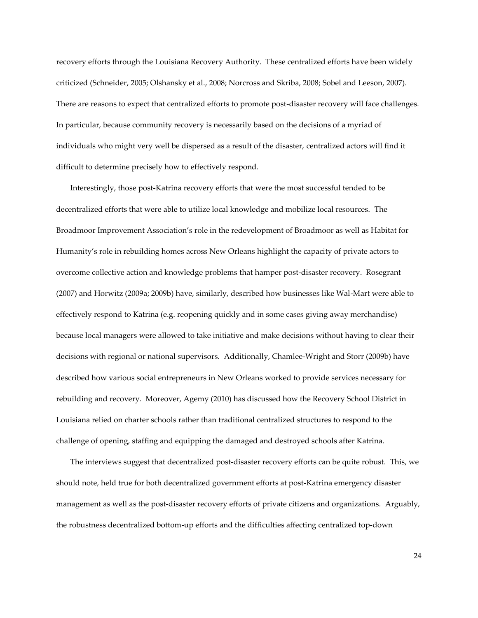recovery efforts through the Louisiana Recovery Authority. These centralized efforts have been widely criticized (Schneider, 2005; Olshansky et al., 2008; Norcross and Skriba, 2008; Sobel and Leeson, 2007). There are reasons to expect that centralized efforts to promote post-disaster recovery will face challenges. In particular, because community recovery is necessarily based on the decisions of a myriad of individuals who might very well be dispersed as a result of the disaster, centralized actors will find it difficult to determine precisely how to effectively respond.

Interestingly, those post-Katrina recovery efforts that were the most successful tended to be decentralized efforts that were able to utilize local knowledge and mobilize local resources. The Broadmoor Improvement Association's role in the redevelopment of Broadmoor as well as Habitat for Humanity's role in rebuilding homes across New Orleans highlight the capacity of private actors to overcome collective action and knowledge problems that hamper post-disaster recovery. Rosegrant (2007) and Horwitz (2009a; 2009b) have, similarly, described how businesses like Wal-Mart were able to effectively respond to Katrina (e.g. reopening quickly and in some cases giving away merchandise) because local managers were allowed to take initiative and make decisions without having to clear their decisions with regional or national supervisors. Additionally, Chamlee-Wright and Storr (2009b) have described how various social entrepreneurs in New Orleans worked to provide services necessary for rebuilding and recovery. Moreover, Agemy (2010) has discussed how the Recovery School District in Louisiana relied on charter schools rather than traditional centralized structures to respond to the challenge of opening, staffing and equipping the damaged and destroyed schools after Katrina.

The interviews suggest that decentralized post-disaster recovery efforts can be quite robust. This, we should note, held true for both decentralized government efforts at post-Katrina emergency disaster management as well as the post-disaster recovery efforts of private citizens and organizations. Arguably, the robustness decentralized bottom-up efforts and the difficulties affecting centralized top-down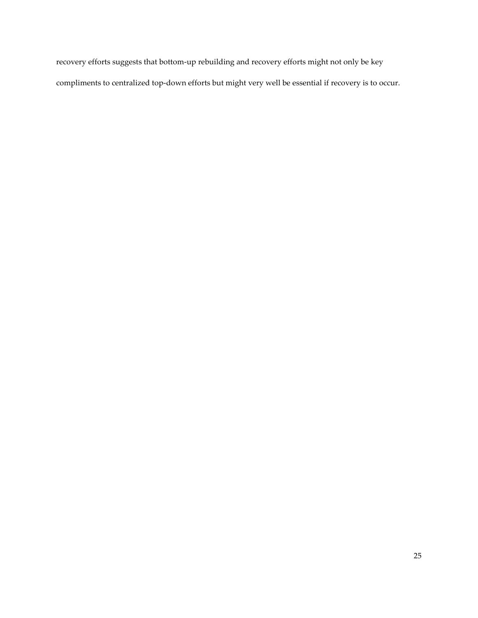recovery efforts suggests that bottom-up rebuilding and recovery efforts might not only be key compliments to centralized top-down efforts but might very well be essential if recovery is to occur.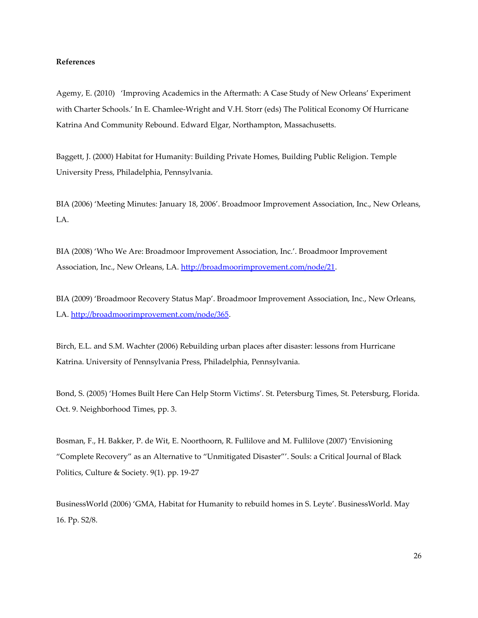#### **References**

Agemy, E. (2010) 'Improving Academics in the Aftermath: A Case Study of New Orleans' Experiment with Charter Schools.' In E. Chamlee-Wright and V.H. Storr (eds) The Political Economy Of Hurricane Katrina And Community Rebound. Edward Elgar, Northampton, Massachusetts.

Baggett, J. (2000) Habitat for Humanity: Building Private Homes, Building Public Religion. Temple University Press, Philadelphia, Pennsylvania.

BIA (2006) 'Meeting Minutes: January 18, 2006'. Broadmoor Improvement Association, Inc., New Orleans, LA.

BIA (2008) 'Who We Are: Broadmoor Improvement Association, Inc.'. Broadmoor Improvement Association, Inc., New Orleans, LA. [http://broadmoorimprovement.com/node/21.](http://broadmoorimprovement.com/node/21)

BIA (2009) 'Broadmoor Recovery Status Map'. Broadmoor Improvement Association, Inc., New Orleans, LA. [http://broadmoorimprovement.com/node/365.](http://broadmoorimprovement.com/node/365)

Birch, E.L. and S.M. Wachter (2006) Rebuilding urban places after disaster: lessons from Hurricane Katrina. University of Pennsylvania Press, Philadelphia, Pennsylvania.

Bond, S. (2005) 'Homes Built Here Can Help Storm Victims'. St. Petersburg Times, St. Petersburg, Florida. Oct. 9. Neighborhood Times, pp. 3.

Bosman, F., H. Bakker, P. de Wit, E. Noorthoorn, R. Fullilove and M. Fullilove (2007) 'Envisioning 'Complete Recovery' as an Alternative to 'Unmitigated Disaster''. Souls: a Critical Journal of Black Politics, Culture & Society. 9(1). pp. 19-27

BusinessWorld (2006) 'GMA, Habitat for Humanity to rebuild homes in S. Leyte'. BusinessWorld. May 16. Pp. S2/8.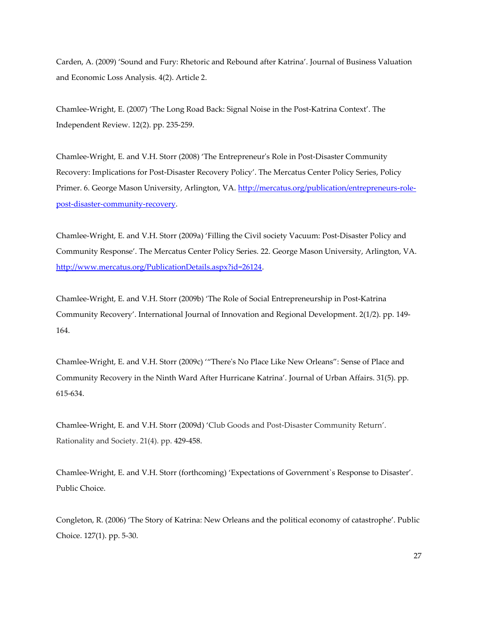Carden, A. (2009) 'Sound and Fury: Rhetoric and Rebound after Katrina'. Journal of Business Valuation and Economic Loss Analysis. 4(2). Article 2.

Chamlee-Wright, E. (2007) 'The Long Road Back: Signal Noise in the Post-Katrina Context'. The Independent Review. 12(2). pp. 235-259.

Chamlee-Wright, E. and V.H. Storr (2008) 'The Entrepreneur's Role in Post-Disaster Community Recovery: Implications for Post-Disaster Recovery Policy'. The Mercatus Center Policy Series, Policy Primer. 6. George Mason University, Arlington, VA. [http://mercatus.org/publication/entrepreneurs-role](http://mercatus.org/publication/entrepreneurs-role-post-disaster-community-recovery)[post-disaster-community-recovery.](http://mercatus.org/publication/entrepreneurs-role-post-disaster-community-recovery)

Chamlee-Wright, E. and V.H. Storr (2009a) 'Filling the Civil society Vacuum: Post-Disaster Policy and Community Response'. The Mercatus Center Policy Series. 22. George Mason University, Arlington, VA. [http://www.mercatus.org/PublicationDetails.aspx?id=26124.](http://www.mercatus.org/PublicationDetails.aspx?id=26124)

Chamlee-Wright, E. and V.H. Storr (2009b) 'The Role of Social Entrepreneurship in Post-Katrina Community Recovery'. International Journal of Innovation and Regional Development. 2(1/2). pp. 149- 164.

Chamlee-Wright, E. and V.H. Storr (2009c) ''There's No Place Like New Orleans': Sense of Place and Community Recovery in the Ninth Ward After Hurricane Katrina'. Journal of Urban Affairs. 31(5). pp. 615-634.

Chamlee-Wright, E. and V.H. Storr (2009d) 'Club Goods and Post-Disaster Community Return'. Rationality and Society. 21(4). pp. 429-458.

Chamlee-Wright, E. and V.H. Storr (forthcoming) 'Expectations of Government`s Response to Disaster'. Public Choice.

Congleton, R. (2006) 'The Story of Katrina: New Orleans and the political economy of catastrophe'. Public Choice. 127(1). pp. 5-30.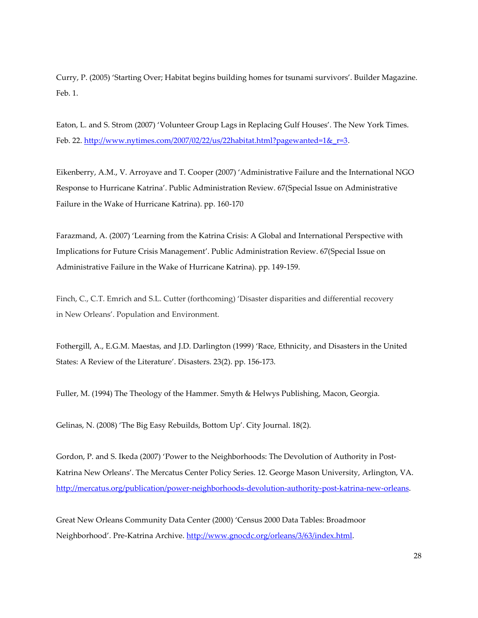Curry, P. (2005) 'Starting Over; Habitat begins building homes for tsunami survivors'. Builder Magazine. Feb. 1.

Eaton, L. and S. Strom (2007) 'Volunteer Group Lags in Replacing Gulf Houses'. The New York Times. Feb. 22. http://www.nytimes.com/2007/02/22/us/22habitat.html?pagewanted=1& $r=3$ .

Eikenberry, A.M., V. Arroyave and T. Cooper (2007) 'Administrative Failure and the International NGO Response to Hurricane Katrina'. Public Administration Review. 67(Special Issue on Administrative Failure in the Wake of Hurricane Katrina). pp. 160-170

Farazmand, A. (2007) 'Learning from the Katrina Crisis: A Global and International Perspective with Implications for Future Crisis Management'. Public Administration Review. 67(Special Issue on Administrative Failure in the Wake of Hurricane Katrina). pp. 149-159.

Finch, C., C.T. Emrich and S.L. Cutter (forthcoming) 'Disaster disparities and differential recovery in New Orleans'. Population and Environment.

Fothergill, A., E.G.M. Maestas, and J.D. Darlington (1999) 'Race, Ethnicity, and Disasters in the United States: A Review of the Literature'. Disasters. 23(2). pp. 156-173.

Fuller, M. (1994) The Theology of the Hammer. Smyth & Helwys Publishing, Macon, Georgia.

Gelinas, N. (2008) 'The Big Easy Rebuilds, Bottom Up'. City Journal. 18(2).

Gordon, P. and S. Ikeda (2007) 'Power to the Neighborhoods: The Devolution of Authority in Post-Katrina New Orleans'. The Mercatus Center Policy Series. 12. George Mason University, Arlington, VA. [http://mercatus.org/publication/power-neighborhoods-devolution-authority-post-katrina-new-orleans.](http://mercatus.org/publication/power-neighborhoods-devolution-authority-post-katrina-new-orleans)

Great New Orleans Community Data Center (2000) 'Census 2000 Data Tables: Broadmoor Neighborhood'. Pre-Katrina Archive. http://www.gnocdc.org/orleans/3/63/index.html.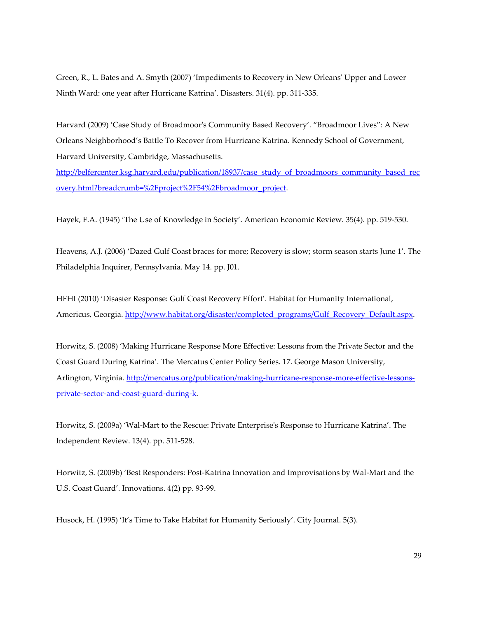Green, R., L. Bates and A. Smyth (2007) 'Impediments to Recovery in New Orleans' Upper and Lower Ninth Ward: one year after Hurricane Katrina'. Disasters. 31(4). pp. 311-335.

Harvard (2009) 'Case Study of Broadmoor's Community Based Recovery'. 'Broadmoor Lives': A New Orleans Neighborhood's Battle To Recover from Hurricane Katrina. Kennedy School of Government, Harvard University, Cambridge, Massachusetts.

[http://belfercenter.ksg.harvard.edu/publication/18937/case\\_study\\_of\\_broadmoors\\_community\\_based\\_rec](http://belfercenter.ksg.harvard.edu/publication/18937/case_study_of_broadmoors_community_based_recovery.html?breadcrumb=%2Fproject%2F54%2Fbroadmoor_project) [overy.html?breadcrumb=%2Fproject%2F54%2Fbroadmoor\\_project.](http://belfercenter.ksg.harvard.edu/publication/18937/case_study_of_broadmoors_community_based_recovery.html?breadcrumb=%2Fproject%2F54%2Fbroadmoor_project)

Hayek, F.A. (1945) 'The Use of Knowledge in Society'. American Economic Review. 35(4). pp. 519-530.

Heavens, A.J. (2006) 'Dazed Gulf Coast braces for more; Recovery is slow; storm season starts June 1'. The Philadelphia Inquirer, Pennsylvania. May 14. pp. J01.

HFHI (2010) 'Disaster Response: Gulf Coast Recovery Effort'. Habitat for Humanity International, Americus, Georgia. [http://www.habitat.org/disaster/completed\\_programs/Gulf\\_Recovery\\_Default.aspx.](http://www.habitat.org/disaster/completed_programs/Gulf_Recovery_Default.aspx)

Horwitz, S. (2008) 'Making Hurricane Response More Effective: Lessons from the Private Sector and the Coast Guard During Katrina'. The Mercatus Center Policy Series. 17. George Mason University, Arlington, Virginia. [http://mercatus.org/publication/making-hurricane-response-more-effective-lessons](http://mercatus.org/publication/making-hurricane-response-more-effective-lessons-private-sector-and-coast-guard-during-k)[private-sector-and-coast-guard-during-k.](http://mercatus.org/publication/making-hurricane-response-more-effective-lessons-private-sector-and-coast-guard-during-k)

Horwitz, S. (2009a) 'Wal-Mart to the Rescue: Private Enterprise's Response to Hurricane Katrina'. The Independent Review. 13(4). pp. 511-528.

Horwitz, S. (2009b) 'Best Responders: Post-Katrina Innovation and Improvisations by Wal-Mart and the U.S. Coast Guard'. Innovations. 4(2) pp. 93-99.

Husock, H. (1995) 'It's Time to Take Habitat for Humanity Seriously'. City Journal. 5(3).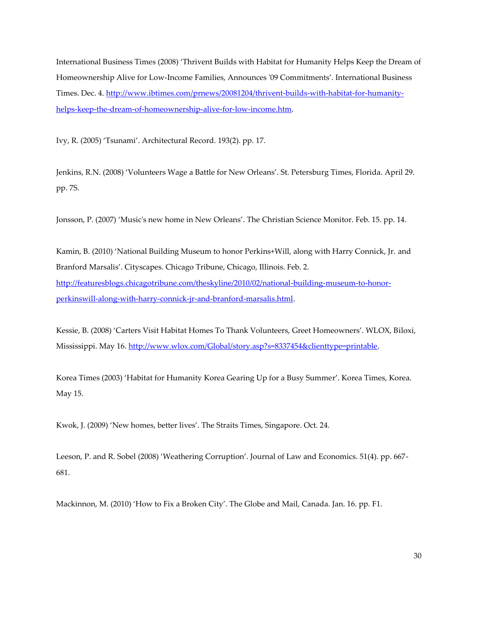International Business Times (2008) 'Thrivent Builds with Habitat for Humanity Helps Keep the Dream of Homeownership Alive for Low-Income Families, Announces '09 Commitments'. International Business Times. Dec. 4. [http://www.ibtimes.com/prnews/20081204/thrivent-builds-with-habitat-for-humanity](http://www.ibtimes.com/prnews/20081204/thrivent-builds-with-habitat-for-humanity-helps-keep-the-dream-of-homeownership-alive-for-low-income.htm)[helps-keep-the-dream-of-homeownership-alive-for-low-income.htm.](http://www.ibtimes.com/prnews/20081204/thrivent-builds-with-habitat-for-humanity-helps-keep-the-dream-of-homeownership-alive-for-low-income.htm)

Ivy, R. (2005) 'Tsunami'. Architectural Record. 193(2). pp. 17.

Jenkins, R.N. (2008) 'Volunteers Wage a Battle for New Orleans'. St. Petersburg Times, Florida. April 29. pp. 7S.

Jonsson, P. (2007) 'Music's new home in New Orleans'. The Christian Science Monitor. Feb. 15. pp. 14.

Kamin, B. (2010) 'National Building Museum to honor Perkins+Will, along with Harry Connick, Jr. and Branford Marsalis'. Cityscapes. Chicago Tribune, Chicago, Illinois. Feb. 2. [http://featuresblogs.chicagotribune.com/theskyline/2010/02/national-building-museum-to-honor](http://featuresblogs.chicagotribune.com/theskyline/2010/02/national-building-museum-to-honor-perkinswill-along-with-harry-connick-jr-and-branford-marsalis.html)[perkinswill-along-with-harry-connick-jr-and-branford-marsalis.html.](http://featuresblogs.chicagotribune.com/theskyline/2010/02/national-building-museum-to-honor-perkinswill-along-with-harry-connick-jr-and-branford-marsalis.html)

Kessie, B. (2008) 'Carters Visit Habitat Homes To Thank Volunteers, Greet Homeowners'. WLOX, Biloxi, Mississippi. May 16[. http://www.wlox.com/Global/story.asp?s=8337454&clienttype=printable.](http://www.wlox.com/Global/story.asp?s=8337454&clienttype=printable)

Korea Times (2003) 'Habitat for Humanity Korea Gearing Up for a Busy Summer'. Korea Times, Korea. May 15.

Kwok, J. (2009) 'New homes, better lives'. The Straits Times, Singapore. Oct. 24.

Leeson, P. and R. Sobel (2008) 'Weathering Corruption'. Journal of Law and Economics. 51(4). pp. 667- 681.

Mackinnon, M. (2010) 'How to Fix a Broken City'. The Globe and Mail, Canada. Jan. 16. pp. F1.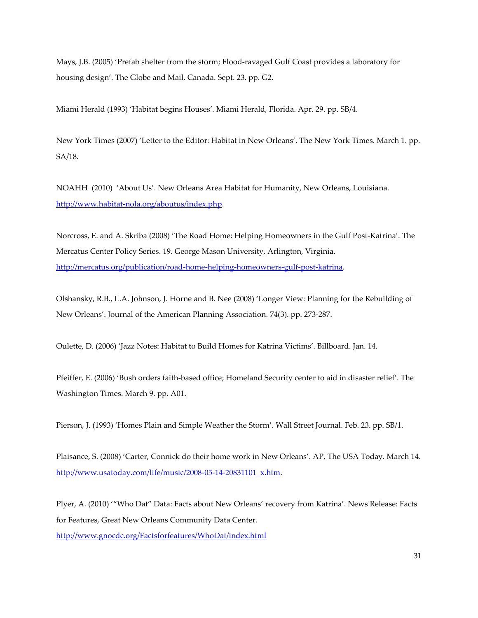Mays, J.B. (2005) 'Prefab shelter from the storm; Flood-ravaged Gulf Coast provides a laboratory for housing design'. The Globe and Mail, Canada. Sept. 23. pp. G2.

Miami Herald (1993) 'Habitat begins Houses'. Miami Herald, Florida. Apr. 29. pp. SB/4.

New York Times (2007) 'Letter to the Editor: Habitat in New Orleans'. The New York Times. March 1. pp. SA/18.

NOAHH (2010) 'About Us'. New Orleans Area Habitat for Humanity, New Orleans, Louisiana. [http://www.habitat-nola.org/aboutus/index.php.](http://www.habitat-nola.org/aboutus/index.php)

Norcross, E. and A. Skriba (2008) 'The Road Home: Helping Homeowners in the Gulf Post-Katrina'. The Mercatus Center Policy Series. 19. George Mason University, Arlington, Virginia. [http://mercatus.org/publication/road-home-helping-homeowners-gulf-post-katrina.](http://mercatus.org/publication/road-home-helping-homeowners-gulf-post-katrina)

Olshansky, R.B., L.A. Johnson, J. Horne and B. Nee (2008) 'Longer View: Planning for the Rebuilding of New Orleans'. Journal of the American Planning Association*.* 74(3). pp. 273-287.

Oulette, D. (2006) 'Jazz Notes: Habitat to Build Homes for Katrina Victims'. Billboard. Jan. 14.

Pfeiffer, E. (2006) 'Bush orders faith-based office; Homeland Security center to aid in disaster relief'. The Washington Times. March 9. pp. A01.

Pierson, J. (1993) 'Homes Plain and Simple Weather the Storm'. Wall Street Journal. Feb. 23. pp. SB/1.

Plaisance, S. (2008) 'Carter, Connick do their home work in New Orleans'. AP, The USA Today. March 14. [http://www.usatoday.com/life/music/2008-05-14-20831101\\_x.htm.](http://www.usatoday.com/life/music/2008-05-14-20831101_x.htm)

Plyer, A. (2010) ''Who Dat' Data: Facts about New Orleans' recovery from Katrina'. News Release: Facts for Features, Great New Orleans Community Data Center.

<http://www.gnocdc.org/Factsforfeatures/WhoDat/index.html>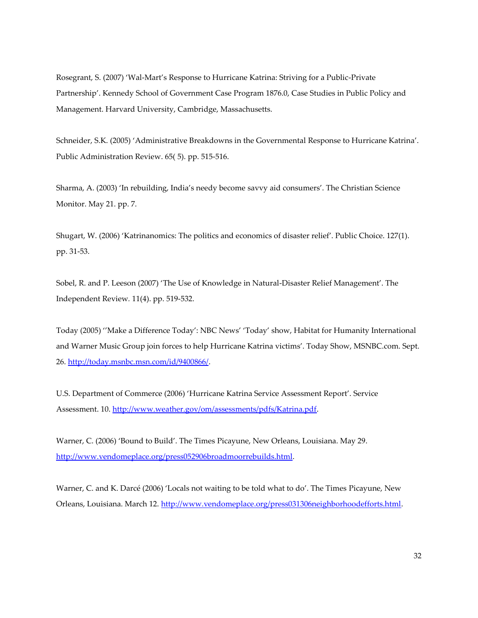Rosegrant, S. (2007) 'Wal-Mart's Response to Hurricane Katrina: Striving for a Public-Private Partnership'. Kennedy School of Government Case Program 1876.0, Case Studies in Public Policy and Management. Harvard University, Cambridge, Massachusetts.

Schneider, S.K. (2005) 'Administrative Breakdowns in the Governmental Response to Hurricane Katrina'. Public Administration Review. 65( 5). pp. 515-516.

Sharma, A. (2003) 'In rebuilding, India's needy become savvy aid consumers'. The Christian Science Monitor. May 21. pp. 7.

Shugart, W. (2006) 'Katrinanomics: The politics and economics of disaster relief'. Public Choice. 127(1). pp. 31-53.

Sobel, R. and P. Leeson (2007) 'The Use of Knowledge in Natural-Disaster Relief Management'. The Independent Review*.* 11(4). pp. 519-532.

Today (2005) ''Make a Difference Today': NBC News' 'Today' show, Habitat for Humanity International and Warner Music Group join forces to help Hurricane Katrina victims'. Today Show, MSNBC.com. Sept. 26. [http://today.msnbc.msn.com/id/9400866/.](http://today.msnbc.msn.com/id/9400866/)

U.S. Department of Commerce (2006) 'Hurricane Katrina Service Assessment Report'. Service Assessment. 10. [http://www.weather.gov/om/assessments/pdfs/Katrina.pdf.](http://www.weather.gov/om/assessments/pdfs/Katrina.pdf)

Warner, C. (2006) 'Bound to Build'. The Times Picayune, New Orleans, Louisiana. May 29. [http://www.vendomeplace.org/press052906broadmoorrebuilds.html.](http://www.vendomeplace.org/press052906broadmoorrebuilds.html)

Warner, C. and K. Darcé (2006) 'Locals not waiting to be told what to do'. The Times Picayune, New Orleans, Louisiana. March 12. [http://www.vendomeplace.org/press031306neighborhoodefforts.html.](http://www.vendomeplace.org/press031306neighborhoodefforts.html)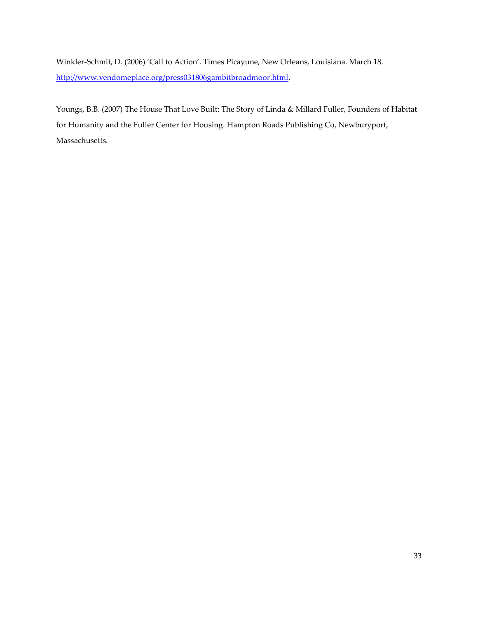Winkler-Schmit, D. (2006) 'Call to Action'. Times Picayune, New Orleans, Louisiana. March 18. [http://www.vendomeplace.org/press031806gambitbroadmoor.html.](http://www.vendomeplace.org/press031806gambitbroadmoor.html)

Youngs, B.B. (2007) The House That Love Built: The Story of Linda & Millard Fuller, Founders of Habitat for Humanity and the Fuller Center for Housing. Hampton Roads Publishing Co, Newburyport, Massachusetts.